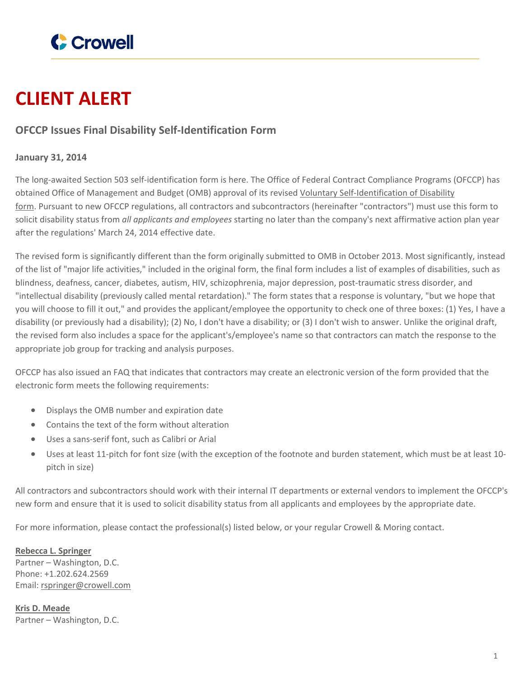

## **CLIENT ALERT**

## **OFCCP Issues Final Disability Self-Identification Form**

## **January 31, 2014**

The long-awaited Section 503 self-identification form is here. The Office of Federal Contract Compliance Programs (OFCCP) has obtained Office of Management and Budget (OMB) approval of its revised Voluntary [Self-Identification](http://www.crowell.com/files/Self-Identification-of-Disability-form.pdf) of Disability [form.](http://www.crowell.com/files/Self-Identification-of-Disability-form.pdf) Pursuant to new OFCCP regulations, all contractors and subcontractors (hereinafter "contractors") must use this form to solicit disability status from *all applicants and employees* starting no later than the company's next affirmative action plan year after the regulations' March 24, 2014 effective date.

The revised form is significantly different than the form originally submitted to OMB in October 2013. Most significantly, instead of the list of "major life activities," included in the original form, the final form includes a list of examples of disabilities, such as blindness, deafness, cancer, diabetes, autism, HIV, schizophrenia, major depression, post-traumatic stress disorder, and "intellectual disability (previously called mental retardation)." The form states that a response is voluntary, "but we hope that you will choose to fill it out," and provides the applicant/employee the opportunity to check one of three boxes: (1) Yes, I have a disability (or previously had a disability); (2) No, I don't have a disability; or (3) I don't wish to answer. Unlike the original draft, the revised form also includes a space for the applicant's/employee's name so that contractors can match the response to the appropriate job group for tracking and analysis purposes.

OFCCP has also issued an FAQ that indicates that contractors may create an electronic version of the form provided that the electronic form meets the following requirements:

- Displays the OMB number and expiration date
- Contains the text of the form without alteration
- Uses a sans-serif font, such as Calibri or Arial
- Uses at least 11-pitch for font size (with the exception of the footnote and burden statement, which must be at least 10 pitch in size)

All contractors and subcontractors should work with their internal IT departments or external vendors to implement the OFCCP's new form and ensure that it is used to solicit disability status from all applicants and employees by the appropriate date.

For more information, please contact the professional(s) listed below, or your regular Crowell & Moring contact.

**Rebecca L. [Springer](https://www.crowell.com/professionals/Rebecca-Springer)** Partner – Washington, D.C. Phone: +1.202.624.2569 Email: [rspringer@crowell.com](mailto:rspringer@crowell.com)

**Kris D. [Meade](https://www.crowell.com/professionals/Kris-Meade)** Partner – Washington, D.C.